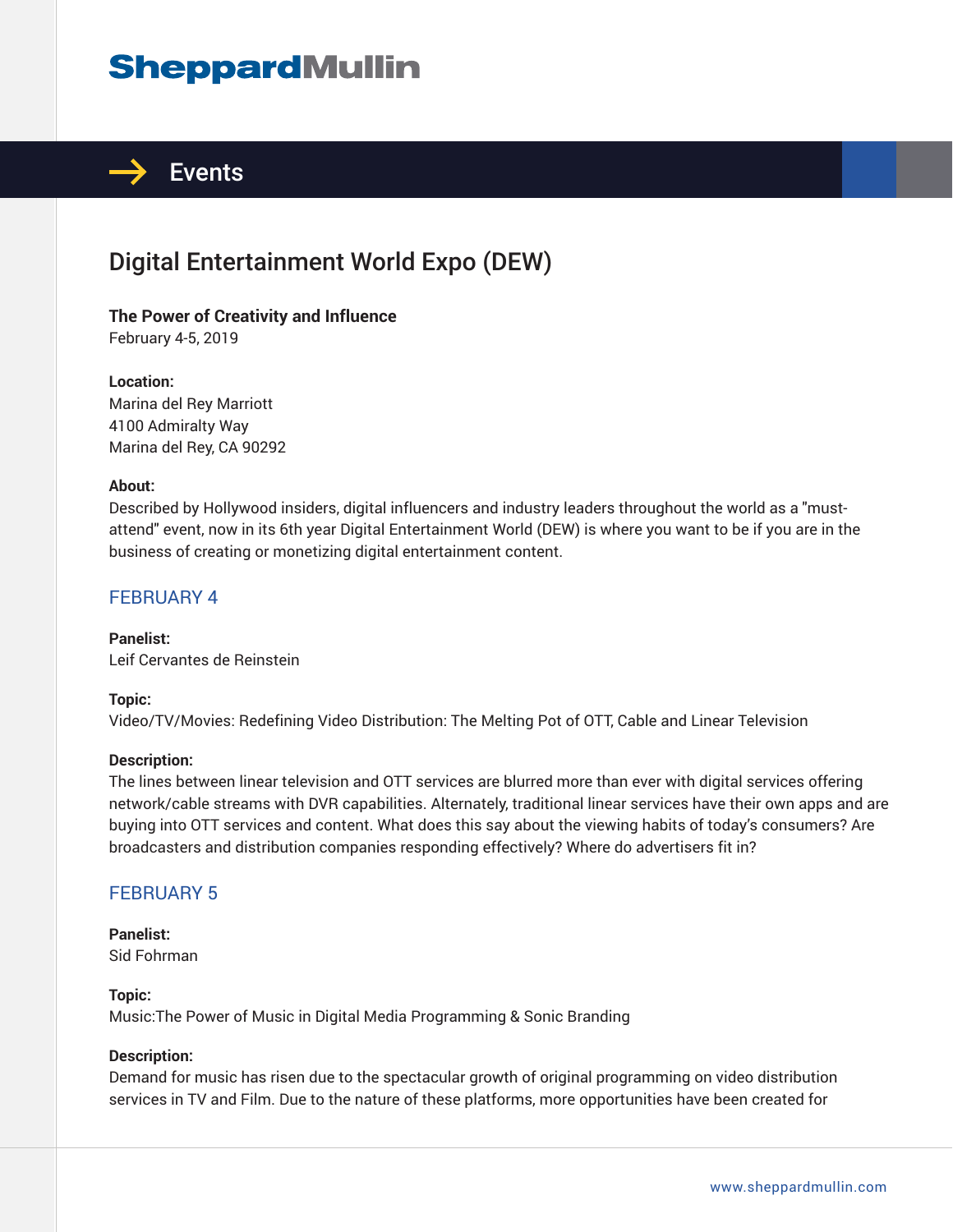# **SheppardMullin**



## Digital Entertainment World Expo (DEW)

## **The Power of Creativity and Influence**

February 4-5, 2019

#### **Location:**

Marina del Rey Marriott 4100 Admiralty Way Marina del Rey, CA 90292

#### **About:**

Described by Hollywood insiders, digital influencers and industry leaders throughout the world as a "mustattend" event, now in its 6th year Digital Entertainment World (DEW) is where you want to be if you are in the business of creating or monetizing digital entertainment content.

#### FEBRUARY 4

**Panelist:** Leif Cervantes de Reinstein

#### **Topic:**

Video/TV/Movies: Redefining Video Distribution: The Melting Pot of OTT, Cable and Linear Television

#### **Description:**

The lines between linear television and OTT services are blurred more than ever with digital services offering network/cable streams with DVR capabilities. Alternately, traditional linear services have their own apps and are buying into OTT services and content. What does this say about the viewing habits of today's consumers? Are broadcasters and distribution companies responding effectively? Where do advertisers fit in?

#### FEBRUARY 5

#### **Panelist:** Sid Fohrman

**Topic:**

Music:The Power of Music in Digital Media Programming & Sonic Branding

#### **Description:**

Demand for music has risen due to the spectacular growth of original programming on video distribution services in TV and Film. Due to the nature of these platforms, more opportunities have been created for